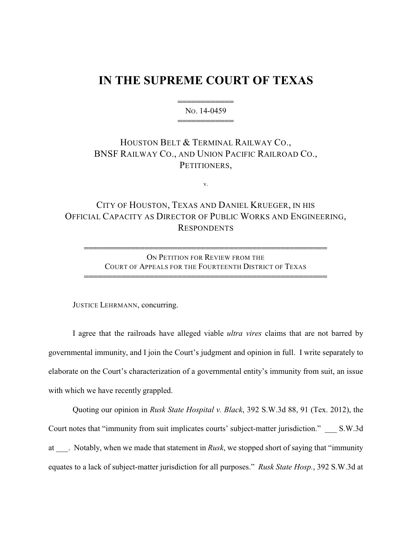## **IN THE SUPREME COURT OF TEXAS**

444444444444 NO. 14-0459 444444444444

## HOUSTON BELT & TERMINAL RAILWAY CO., BNSF RAILWAY CO., AND UNION PACIFIC RAILROAD CO., PETITIONERS,

v.

## CITY OF HOUSTON, TEXAS AND DANIEL KRUEGER, IN HIS OFFICIAL CAPACITY AS DIRECTOR OF PUBLIC WORKS AND ENGINEERING, RESPONDENTS

ON PETITION FOR REVIEW FROM THE COURT OF APPEALS FOR THE FOURTEENTH DISTRICT OF TEXAS

4444444444444444444444444444444444444444444444444444

4444444444444444444444444444444444444444444444444444

JUSTICE LEHRMANN, concurring.

I agree that the railroads have alleged viable *ultra vires* claims that are not barred by governmental immunity, and I join the Court's judgment and opinion in full. I write separately to elaborate on the Court's characterization of a governmental entity's immunity from suit, an issue with which we have recently grappled.

Quoting our opinion in *Rusk State Hospital v. Black*, 392 S.W.3d 88, 91 (Tex. 2012), the Court notes that "immunity from suit implicates courts' subject-matter jurisdiction." \_\_\_ S.W.3d at \_\_\_. Notably, when we made that statement in *Rusk*, we stopped short of saying that "immunity equates to a lack of subject-matter jurisdiction for all purposes." *Rusk State Hosp.*, 392 S.W.3d at